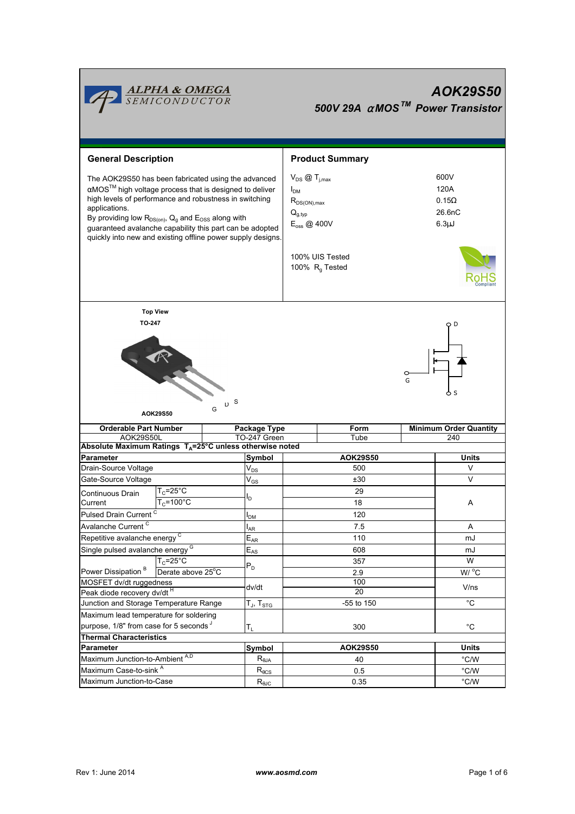

# *AOK29S50 500V 29A* <sup>α</sup> *MOSTM Power Transistor*

| <b>General Description</b>                                     |                                                          | <b>Product Summary</b>                                             |                      |                                               |                               |                   |  |  |
|----------------------------------------------------------------|----------------------------------------------------------|--------------------------------------------------------------------|----------------------|-----------------------------------------------|-------------------------------|-------------------|--|--|
|                                                                | The AOK29S50 has been fabricated using the advanced      | $V_{DS}$ $\textcircled{1}_{i,max}$                                 |                      |                                               | 600V                          |                   |  |  |
|                                                                | αMOS™ high voltage process that is designed to deliver   | I <sub>DM</sub>                                                    |                      | 120A                                          |                               |                   |  |  |
| high levels of performance and robustness in switching         |                                                          | $R_{DS(ON),max}$                                                   |                      | $0.15\Omega$                                  |                               |                   |  |  |
| applications.                                                  |                                                          |                                                                    | $Q_{g,typ}$          |                                               | 26.6nC                        |                   |  |  |
| By providing low $R_{DS(on)}$ , $Q_g$ and $E_{OSS}$ along with |                                                          |                                                                    | $E_{\rm oss}$ @ 400V |                                               | $6.3\mu$ J                    |                   |  |  |
|                                                                | guaranteed avalanche capability this part can be adopted |                                                                    |                      |                                               |                               |                   |  |  |
|                                                                |                                                          | quickly into new and existing offline power supply designs.        |                      |                                               |                               |                   |  |  |
|                                                                |                                                          |                                                                    |                      | 100% UIS Tested<br>100% R <sub>g</sub> Tested |                               |                   |  |  |
| <b>Top View</b>                                                |                                                          |                                                                    |                      |                                               |                               |                   |  |  |
| TO-247                                                         |                                                          |                                                                    |                      |                                               |                               |                   |  |  |
|                                                                |                                                          |                                                                    |                      |                                               |                               |                   |  |  |
|                                                                |                                                          |                                                                    |                      |                                               |                               |                   |  |  |
|                                                                |                                                          |                                                                    |                      |                                               | o                             |                   |  |  |
|                                                                |                                                          |                                                                    |                      |                                               |                               |                   |  |  |
|                                                                |                                                          |                                                                    |                      | G                                             |                               |                   |  |  |
|                                                                | R                                                        |                                                                    |                      |                                               |                               | Ò S               |  |  |
|                                                                |                                                          | D S<br>G                                                           |                      |                                               |                               |                   |  |  |
|                                                                | AOK29S50                                                 |                                                                    |                      |                                               |                               |                   |  |  |
| <b>Orderable Part Number</b>                                   |                                                          | Package Type                                                       | Form                 |                                               | <b>Minimum Order Quantity</b> |                   |  |  |
| AOK29S50L                                                      |                                                          |                                                                    |                      |                                               |                               |                   |  |  |
|                                                                |                                                          | TO-247 Green                                                       |                      | Tube                                          |                               | 240               |  |  |
|                                                                |                                                          | Absolute Maximum Ratings $T_A = 25^\circ C$ unless otherwise noted |                      |                                               |                               |                   |  |  |
| <b>Parameter</b>                                               |                                                          | Symbol                                                             |                      | AOK29S50                                      |                               | <b>Units</b>      |  |  |
| Drain-Source Voltage                                           |                                                          | $\mathsf{V}_{\mathsf{DS}}$                                         |                      | 500                                           |                               | V                 |  |  |
| Gate-Source Voltage                                            |                                                          | $\mathsf{V}_{\mathsf{GS}}$                                         |                      | ±30                                           |                               | V                 |  |  |
| Continuous Drain                                               | $T_c = 25$ °C                                            |                                                                    |                      | 29                                            |                               |                   |  |  |
| Current                                                        | $T_c = 100^{\circ}$ C                                    | l <sub>D</sub>                                                     |                      | 18                                            |                               | Α                 |  |  |
| Pulsed Drain Current <sup>C</sup>                              |                                                          | I <sub>DM</sub>                                                    |                      | 120                                           |                               |                   |  |  |
| Avalanche Current <sup>C</sup>                                 |                                                          | $I_{AR}$                                                           |                      | 7.5                                           |                               | Α                 |  |  |
|                                                                |                                                          |                                                                    |                      | 110                                           |                               | mJ                |  |  |
| Repetitive avalanche energy <sup>C</sup>                       |                                                          | $E_{AR}$                                                           |                      | 608                                           |                               | mJ                |  |  |
| Single pulsed avalanche energy <sup>G</sup>                    |                                                          | $E_{AS}$                                                           |                      | 357                                           |                               | W                 |  |  |
|                                                                | $T_c = 25^{\circ}C$                                      | $\mathsf{P}_\mathsf{D}$                                            |                      |                                               |                               |                   |  |  |
| Power Dissipation <sup>B</sup><br>MOSFET dv/dt ruggedness      | Derate above 25°C                                        |                                                                    |                      | 2.9<br>100                                    |                               | W / C             |  |  |
| Peak diode recovery dv/dt H                                    |                                                          | dv/dt                                                              |                      | 20                                            |                               | V/ns              |  |  |
| Junction and Storage Temperature Range                         |                                                          | T $_{\sf J}$ , T $_{\sf STG}$                                      |                      | -55 to 150                                    |                               | $^{\circ}C$       |  |  |
| Maximum lead temperature for soldering                         |                                                          |                                                                    |                      |                                               |                               |                   |  |  |
| purpose, 1/8" from case for 5 seconds J                        |                                                          |                                                                    |                      | 300                                           |                               | $^{\circ}{\rm C}$ |  |  |
| <b>Thermal Characteristics</b>                                 |                                                          | T <sub>L</sub>                                                     |                      |                                               |                               |                   |  |  |
| Parameter                                                      |                                                          | Symbol                                                             |                      | AOK29S50                                      |                               | <b>Units</b>      |  |  |
|                                                                |                                                          | $R_{\theta$ JA                                                     |                      | 40                                            |                               | °C/W              |  |  |
| Maximum Junction-to-Ambient A,D<br>Maximum Case-to-sink A      |                                                          | $R_{\theta CS}$                                                    |                      | 0.5                                           |                               | $\degree$ C/W     |  |  |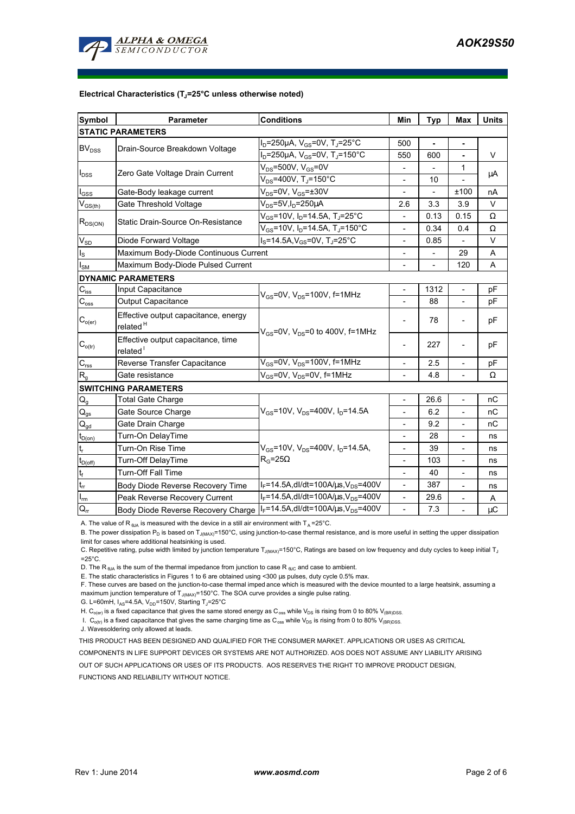

#### **Electrical Characteristics (TJ=25°C unless otherwise noted)**

| <b>Symbol</b>                          | Parameter                                                                           | <b>Conditions</b>                                                  | Min                      | <b>Typ</b>     | Max                      | <b>Units</b> |  |  |  |  |  |
|----------------------------------------|-------------------------------------------------------------------------------------|--------------------------------------------------------------------|--------------------------|----------------|--------------------------|--------------|--|--|--|--|--|
| <b>STATIC PARAMETERS</b>               |                                                                                     |                                                                    |                          |                |                          |              |  |  |  |  |  |
| <b>BV<sub>DSS</sub></b>                |                                                                                     | $I_D = 250 \mu A$ , $V_{GS} = 0V$ , T <sub>J</sub> =25°C           | 500                      | $\blacksquare$ | $\blacksquare$           |              |  |  |  |  |  |
|                                        | Drain-Source Breakdown Voltage                                                      | $I_D = 250 \mu A$ , $V_{GS} = 0V$ , T <sub>J</sub> =150°C          | 550                      | 600            | ä,                       | V            |  |  |  |  |  |
| $I_{DSS}$                              |                                                                                     | $V_{DS}$ =500V, V <sub>GS</sub> =0V                                |                          |                | 1                        | μA           |  |  |  |  |  |
|                                        | Zero Gate Voltage Drain Current                                                     | $V_{DS}$ =400V, T <sub>J</sub> =150°C                              |                          | 10             |                          |              |  |  |  |  |  |
| $I_{GSS}$                              | Gate-Body leakage current                                                           | $V_{DS}$ =0V, $V_{GS}$ =±30V                                       | $\overline{\phantom{a}}$ |                | ±100                     | nA           |  |  |  |  |  |
| $V_{GS$                                | Gate Threshold Voltage                                                              | $V_{DS}$ =5V, I <sub>D</sub> =250µA                                | 2.6                      | 3.3            | 3.9                      | V            |  |  |  |  |  |
| $R_{DS(ON)}$                           | Static Drain-Source On-Resistance                                                   | $V_{GS}$ =10V, I <sub>D</sub> =14.5A, T <sub>J</sub> =25°C         |                          | 0.13           | 0.15                     | Ω            |  |  |  |  |  |
|                                        |                                                                                     | $V_{GS}$ =10V, I <sub>D</sub> =14.5A, T <sub>J</sub> =150°C        | $\overline{a}$           | 0.34           | 0.4                      | Ω            |  |  |  |  |  |
| $\mathsf{V}_{\mathsf{SD}}$             | Diode Forward Voltage                                                               | $I_S = 14.5A$ , $V_{GS} = 0V$ , T <sub>J</sub> =25°C               | $\overline{\phantom{a}}$ | 0.85           |                          | V            |  |  |  |  |  |
| $\mathsf{I}_\mathsf{S}$                | Maximum Body-Diode Continuous Current                                               |                                                                    |                          | 29             | A                        |              |  |  |  |  |  |
| $I_{\text{SM}}$                        | Maximum Body-Diode Pulsed Current                                                   |                                                                    |                          |                | 120                      | A            |  |  |  |  |  |
|                                        | <b>DYNAMIC PARAMETERS</b>                                                           |                                                                    |                          |                |                          |              |  |  |  |  |  |
| $C_{\text{iss}}$                       | Input Capacitance                                                                   | $V_{GS}$ =0V, $V_{DS}$ =100V, f=1MHz                               |                          | 1312           |                          | рF           |  |  |  |  |  |
| $C_{\rm oss}$                          | Output Capacitance                                                                  |                                                                    | $\blacksquare$           | 88             | $\overline{\phantom{a}}$ | рF           |  |  |  |  |  |
| $C_{o(er)}$                            | Effective output capacitance, energy<br>related <sup>H</sup>                        | $V_{GS}$ =0V, V <sub>DS</sub> =0 to 400V, f=1MHz                   |                          | 78             |                          | рF           |  |  |  |  |  |
| $C_{o(tr)}$                            | Effective output capacitance, time<br>related <sup>1</sup>                          |                                                                    |                          | 227            |                          | рF           |  |  |  |  |  |
| $C_{\rm rss}$                          | Reverse Transfer Capacitance                                                        | $V_{GS}$ =0V, $V_{DS}$ =100V, f=1MHz                               |                          | 2.5            |                          | рF           |  |  |  |  |  |
| $R_{g}$                                | Gate resistance                                                                     | $V_{GS}$ =0V, $V_{DS}$ =0V, f=1MHz                                 |                          | 4.8            |                          | Ω            |  |  |  |  |  |
|                                        | <b>SWITCHING PARAMETERS</b>                                                         |                                                                    |                          |                |                          |              |  |  |  |  |  |
| $Q_g$                                  | <b>Total Gate Charge</b>                                                            |                                                                    |                          | 26.6           | $\overline{\phantom{a}}$ | пC           |  |  |  |  |  |
| $\mathsf{Q}_{\text{gs}}$               | Gate Source Charge                                                                  | $V_{GS}$ =10V, $V_{DS}$ =400V, I <sub>D</sub> =14.5A               | $\overline{\phantom{a}}$ | 6.2            | $\overline{a}$           | nC           |  |  |  |  |  |
| $\mathsf{Q}_{\underline{\mathsf{gd}}}$ | Gate Drain Charge                                                                   |                                                                    |                          | 9.2            |                          | nC           |  |  |  |  |  |
| $t_{D(on)}$                            | Turn-On DelayTime                                                                   |                                                                    |                          | 28             | $\overline{\phantom{a}}$ | ns           |  |  |  |  |  |
| $\mathsf{t}_{\mathsf{r}}$              | Turn-On Rise Time                                                                   | $V_{GS}$ =10V, $V_{DS}$ =400V, $I_{D}$ =14.5A,<br>$R_G = 25\Omega$ | $\overline{\phantom{a}}$ | 39             | $\overline{\phantom{a}}$ | ns           |  |  |  |  |  |
| $t_{D(\underline{off})}$               | Turn-Off DelayTime                                                                  |                                                                    | $\overline{\phantom{a}}$ | 103            | $\bar{\phantom{a}}$      | ns           |  |  |  |  |  |
| $\mathbf{t}_\text{f}$                  | Turn-Off Fall Time                                                                  |                                                                    | $\overline{\phantom{a}}$ | 40             | $\overline{a}$           | ns           |  |  |  |  |  |
| $t_{\rm rr}$                           | Body Diode Reverse Recovery Time                                                    | $I_F = 14.5A$ , dl/dt=100A/ $\mu$ s, V <sub>DS</sub> =400V         |                          | 387            | $\overline{\phantom{a}}$ | ns           |  |  |  |  |  |
| $\mathsf{I}_{\mathsf{m}}$              | Peak Reverse Recovery Current                                                       | $I_F = 14.5A$ , dl/dt=100A/ $\mu$ s, V <sub>DS</sub> =400V         | $\blacksquare$           | 29.6           |                          | Α            |  |  |  |  |  |
| $\mathsf{Q}_{\mathsf{rr}}$             | Body Diode Reverse Recovery Charge   IF=14.5A, dl/dt=100A/us, V <sub>DS</sub> =400V |                                                                    | $\overline{\phantom{a}}$ | 7.3            |                          | $\mu$ C      |  |  |  |  |  |

A. The value of R  $_{\theta$ JA is measured with the device in a still air environment with T<sub>A</sub> = 25°C.

B. The power dissipation P<sub>D</sub> is based on T<sub>J(MAX)</sub>=150°C, using junction-to-case thermal resistance, and is more useful in setting the upper dissipation limit for cases where additional heatsinking is used.

C. Repetitive rating, pulse width limited by junction temperature T<sub>J(MAX)</sub>=150°C, Ratings are based on low frequency and duty cycles to keep initial T<sub>J</sub>  $=25^{\circ}$ C.

D. The R<sub>BJA</sub> is the sum of the thermal impedance from junction to case R<sub>BJC</sub> and case to ambient.

E. The static characteristics in Figures 1 to 6 are obtained using <300 µs pulses, duty cycle 0.5% max.

F. These curves are based on the junction-to-case thermal imped ance which is measured with the device mounted to a large heatsink, assuming a maximum junction temperature of  $T_{J(MAX)}$ =150°C. The SOA curve provides a single pulse rating.

G. L=60mH,  $I_{AS}$ =4.5A,  $V_{DD}$ =150V, Starting T<sub>J</sub>=25°C

H. C<sub>o(er)</sub> is a fixed capacitance that gives the same stored energy as C<sub>oss</sub> while V<sub>DS</sub> is rising from 0 to 80% V<sub>(BR)DSS</sub>.

I.  $C_{o(tr)}$  is a fixed capacitance that gives the same charging time as  $C_{oss}$  while  $V_{DS}$  is rising from 0 to 80%  $V_{(BR)DSS}$ .

J. Wavesoldering only allowed at leads.

THIS PRODUCT HAS BEEN DESIGNED AND QUALIFIED FOR THE CONSUMER MARKET. APPLICATIONS OR USES AS CRITICAL

COMPONENTS IN LIFE SUPPORT DEVICES OR SYSTEMS ARE NOT AUTHORIZED. AOS DOES NOT ASSUME ANY LIABILITY ARISING

OUT OF SUCH APPLICATIONS OR USES OF ITS PRODUCTS. AOS RESERVES THE RIGHT TO IMPROVE PRODUCT DESIGN,

FUNCTIONS AND RELIABILITY WITHOUT NOTICE.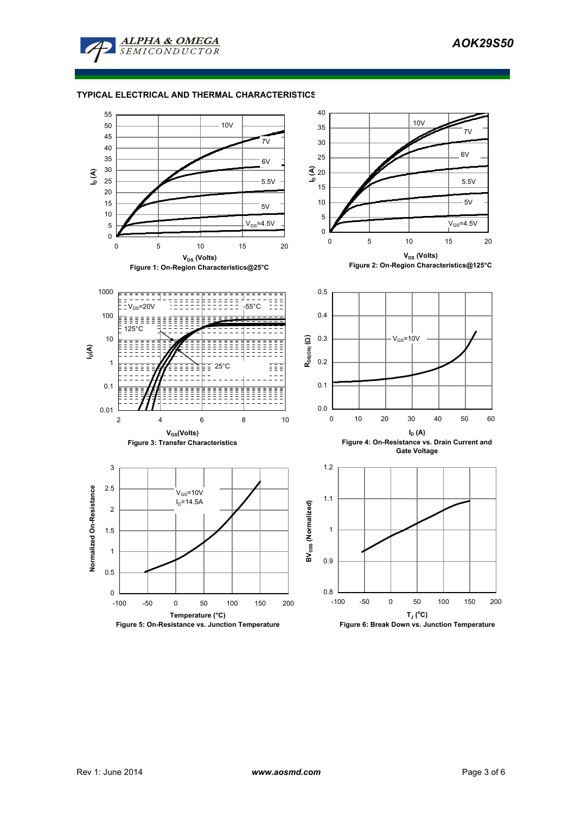

**ALPHA & OMEGA** SEMICONDUCTOR

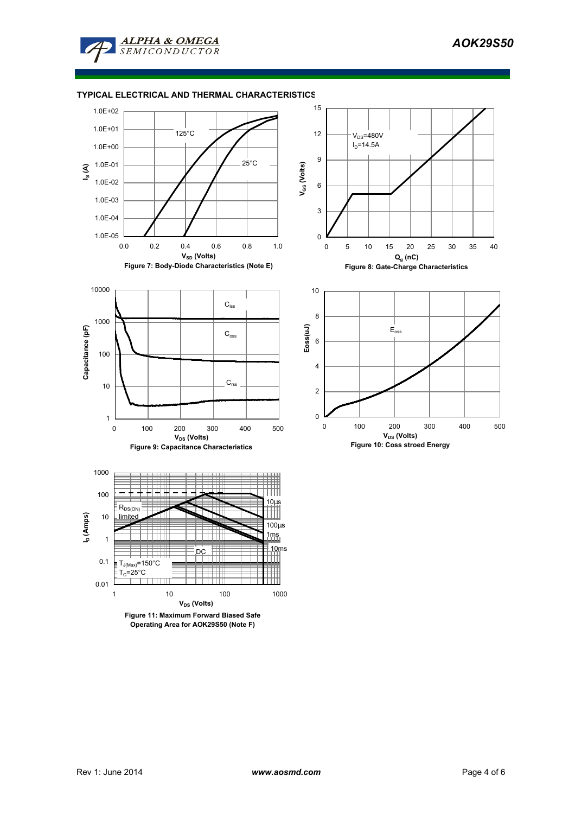

# **TYPICAL ELECTRICAL AND THERMAL CHARACTERISTICS**











1

10

100

**Capacitance (pF)**

Capacitance (pF)

1000

10000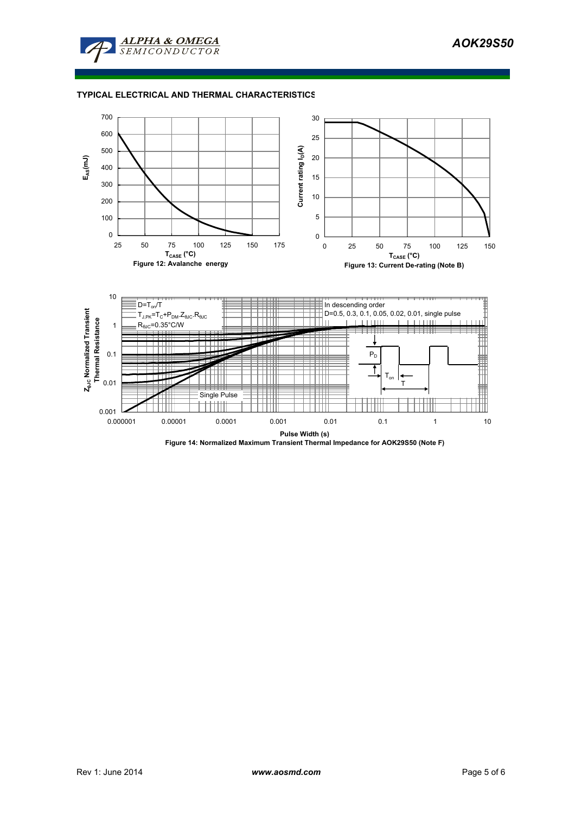

# **TYPICAL ELECTRICAL AND THERMAL CHARACTERISTICS**



**Figure 14: Normalized Maximum Transient Thermal Impedance for AOK29S50 (Note F)**